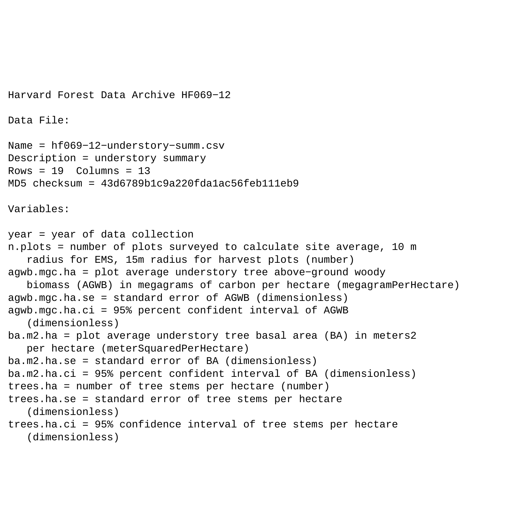```
Harvard Forest Data Archive HF069−12
Data File:
Name = hf069−12−understory−summ.csv
Description = understory summary 
Rows = 19 Columns = 13MD5 checksum = 43d6789b1c9a220fdalac56feb111eb9Variables:
year = year of data collection 
n.plots = number of plots surveyed to calculate site average, 10 m 
    radius for EMS, 15m radius for harvest plots (number) 
agwb.mgc.ha = plot average understory tree above−ground woody 
    biomass (AGWB) in megagrams of carbon per hectare (megagramPerHectare) 
agwb.mgc.ha.se = standard error of AGWB (dimensionless) 
agwb.mgc.ha.ci = 95% percent confident interval of AGWB 
    (dimensionless) 
ba.m2.ha = plot average understory tree basal area (BA) in meters2 
    per hectare (meterSquaredPerHectare) 
ba.m2.ha.se = standard error of BA (dimensionless) 
ba.m2.ha.ci = 95% percent confident interval of BA (dimensionless) 
trees.ha = number of tree stems per hectare (number) 
trees.ha.se = standard error of tree stems per hectare 
    (dimensionless) 
trees.ha.ci = 95% confidence interval of tree stems per hectare 
    (dimensionless)
```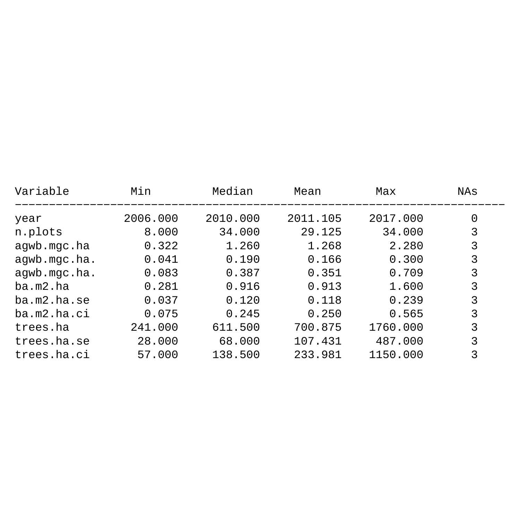| Variable     | Min      | Median   | Mean     | Max      | NAs |
|--------------|----------|----------|----------|----------|-----|
| year         | 2006.000 | 2010.000 | 2011.105 | 2017.000 | 0   |
| n.plots      | 8,000    | 34.000   | 29.125   | 34.000   | 3   |
| agwb.mgc.ha  | 0.322    | 1,260    | 1.268    | 2.280    | 3   |
| agwb.mgc.ha. | 0.041    | 0.190    | 0.166    | 0.300    | 3   |
| agwb.mgc.ha. | 0.083    | 0.387    | 0.351    | 0.709    | 3   |
| ba.m2.ha     | 0.281    | 0.916    | 0.913    | 1.600    | 3   |
| ba.m2.ha.se  | 0.037    | 0.120    | 0.118    | 0.239    | 3   |
| ba.m2.ha.ci  | 0.075    | 0.245    | 0.250    | 0.565    | 3   |
| trees.ha     | 241.000  | 611.500  | 700.875  | 1760.000 | 3   |
| trees.ha.se  | 28,000   | 68.000   | 107.431  | 487.000  | 3   |
| trees.ha.ci  | 57.000   | 138.500  | 233.981  | 1150.000 | 3   |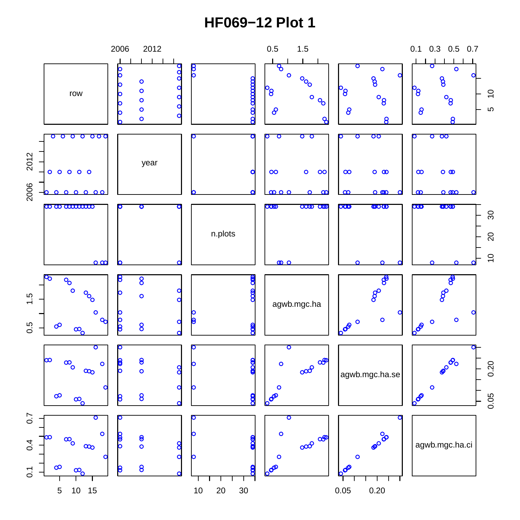## **HF069−12 Plot 1**

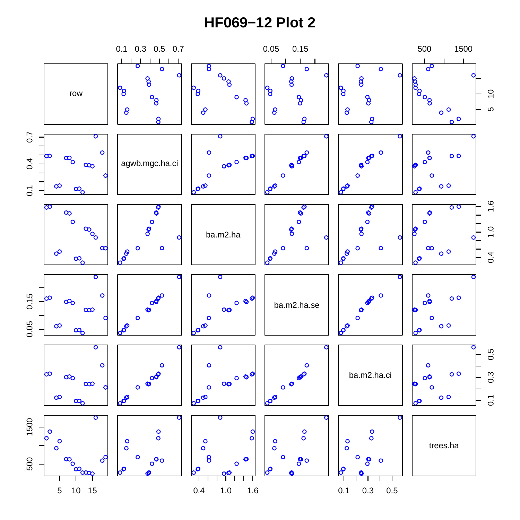## **HF069−12 Plot 2**